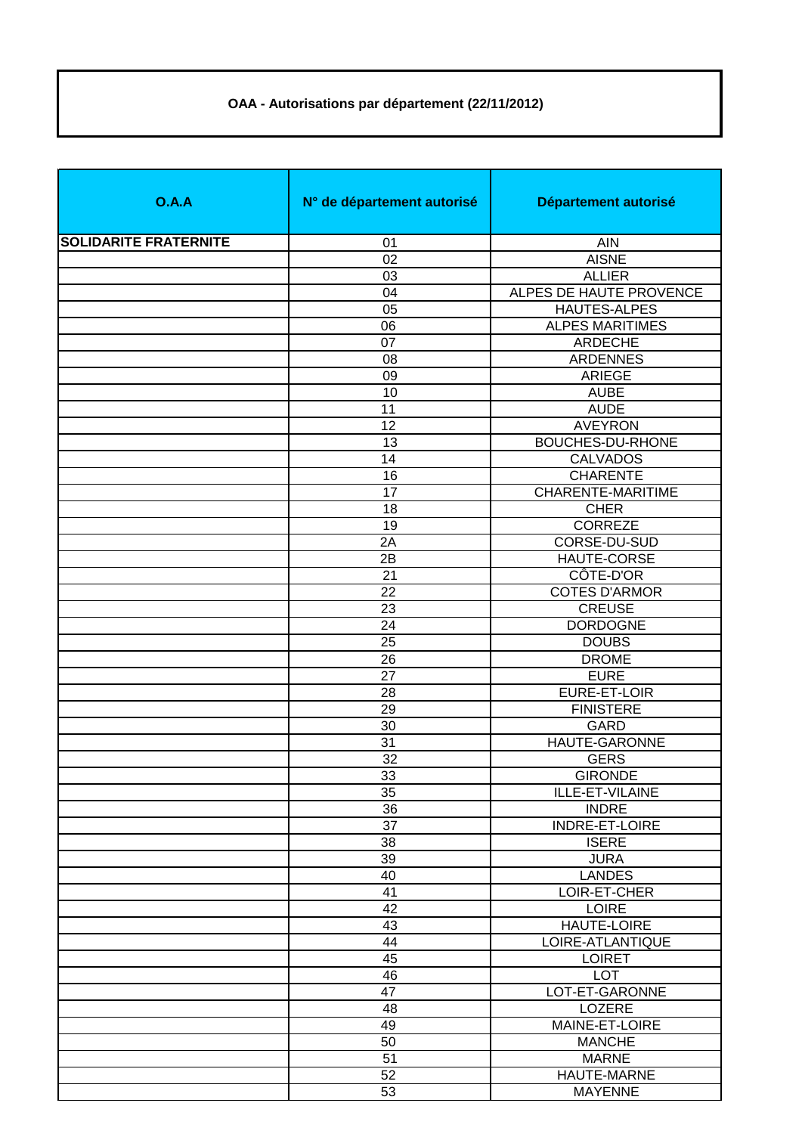## **OAA - Autorisations par département (22/11/2012)**

| O.A.A                        | N° de département autorisé | Département autorisé    |
|------------------------------|----------------------------|-------------------------|
| <b>SOLIDARITE FRATERNITE</b> | 01                         | <b>AIN</b>              |
|                              | 02                         | <b>AISNE</b>            |
|                              | 03                         | <b>ALLIER</b>           |
|                              | 04                         | ALPES DE HAUTE PROVENCE |
|                              | 05                         | <b>HAUTES-ALPES</b>     |
|                              | 06                         | <b>ALPES MARITIMES</b>  |
|                              | 07                         | ARDECHE                 |
|                              | 08                         | <b>ARDENNES</b>         |
|                              | 09                         | <b>ARIEGE</b>           |
|                              | 10                         | <b>AUBE</b>             |
|                              | 11                         | <b>AUDE</b>             |
|                              | 12                         | <b>AVEYRON</b>          |
|                              | 13                         | <b>BOUCHES-DU-RHONE</b> |
|                              | 14                         | <b>CALVADOS</b>         |
|                              | 16                         | <b>CHARENTE</b>         |
|                              | 17                         | CHARENTE-MARITIME       |
|                              | 18                         | <b>CHER</b>             |
|                              | 19                         | <b>CORREZE</b>          |
|                              | 2A                         | CORSE-DU-SUD            |
|                              | 2B                         | HAUTE-CORSE             |
|                              | 21                         | CÔTE-D'OR               |
|                              | 22                         | <b>COTES D'ARMOR</b>    |
|                              |                            | <b>CREUSE</b>           |
|                              | 23                         |                         |
|                              | 24                         | <b>DORDOGNE</b>         |
|                              | 25                         | <b>DOUBS</b>            |
|                              | 26                         | <b>DROME</b>            |
|                              | 27                         | <b>EURE</b>             |
|                              | 28                         | EURE-ET-LOIR            |
|                              | 29                         | <b>FINISTERE</b>        |
|                              | 30                         | GARD                    |
|                              | 31                         | HAUTE-GARONNE           |
|                              | 32                         | <b>GERS</b>             |
|                              | $\overline{33}$            | <b>GIRONDE</b>          |
|                              | 35                         | ILLE-ET-VILAINE         |
|                              | 36                         | <b>INDRE</b>            |
|                              | 37                         | INDRE-ET-LOIRE          |
|                              | 38                         | <b>ISERE</b>            |
|                              | 39                         | <b>JURA</b>             |
|                              | 40                         | <b>LANDES</b>           |
|                              | 41                         | LOIR-ET-CHER            |
|                              | 42                         | <b>LOIRE</b>            |
|                              | 43                         | HAUTE-LOIRE             |
|                              | 44                         | LOIRE-ATLANTIQUE        |
|                              | 45                         | <b>LOIRET</b>           |
|                              | 46                         | <b>LOT</b>              |
|                              | 47                         | LOT-ET-GARONNE          |
|                              | 48                         | LOZERE                  |
|                              | 49                         | MAINE-ET-LOIRE          |
|                              | 50                         | <b>MANCHE</b>           |
|                              | 51                         | <b>MARNE</b>            |
|                              | 52                         | HAUTE-MARNE             |
|                              | 53                         | <b>MAYENNE</b>          |